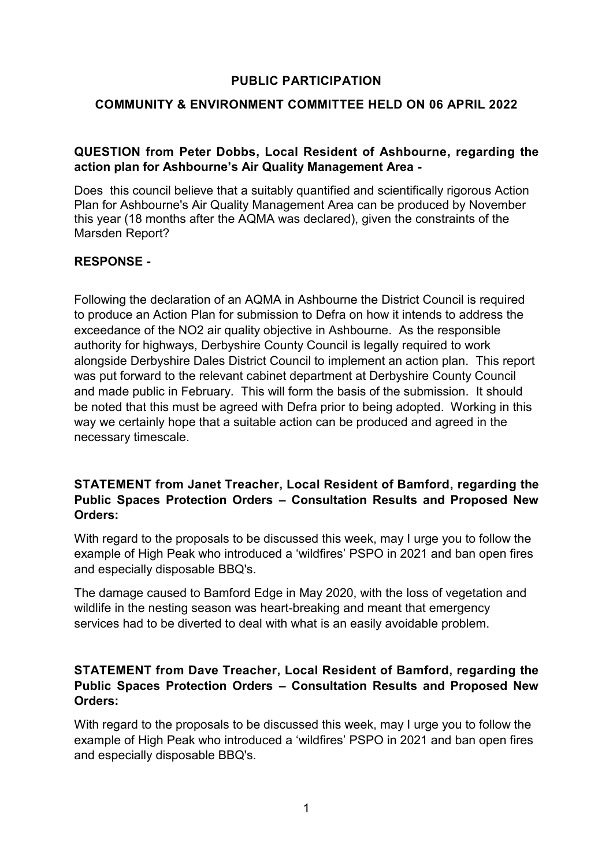### **PUBLIC PARTICIPATION**

### **COMMUNITY & ENVIRONMENT COMMITTEE HELD ON 06 APRIL 2022**

## **QUESTION from Peter Dobbs, Local Resident of Ashbourne, regarding the action plan for Ashbourne's Air Quality Management Area -**

Does this council believe that a suitably quantified and scientifically rigorous Action Plan for Ashbourne's Air Quality Management Area can be produced by November this year (18 months after the AQMA was declared), given the constraints of the Marsden Report?

## **RESPONSE -**

Following the declaration of an AQMA in Ashbourne the District Council is required to produce an Action Plan for submission to Defra on how it intends to address the exceedance of the NO2 air quality objective in Ashbourne. As the responsible authority for highways, Derbyshire County Council is legally required to work alongside Derbyshire Dales District Council to implement an action plan. This report was put forward to the relevant cabinet department at Derbyshire County Council and made public in February. This will form the basis of the submission. It should be noted that this must be agreed with Defra prior to being adopted. Working in this way we certainly hope that a suitable action can be produced and agreed in the necessary timescale.

#### **STATEMENT from Janet Treacher, Local Resident of Bamford, regarding the Public Spaces Protection Orders – Consultation Results and Proposed New Orders:**

With regard to the proposals to be discussed this week, may I urge you to follow the example of High Peak who introduced a 'wildfires' PSPO in 2021 and ban open fires and especially disposable BBQ's.

The damage caused to Bamford Edge in May 2020, with the loss of vegetation and wildlife in the nesting season was heart-breaking and meant that emergency services had to be diverted to deal with what is an easily avoidable problem.

## **STATEMENT from Dave Treacher, Local Resident of Bamford, regarding the Public Spaces Protection Orders – Consultation Results and Proposed New Orders:**

With regard to the proposals to be discussed this week, may I urge you to follow the example of High Peak who introduced a 'wildfires' PSPO in 2021 and ban open fires and especially disposable BBQ's.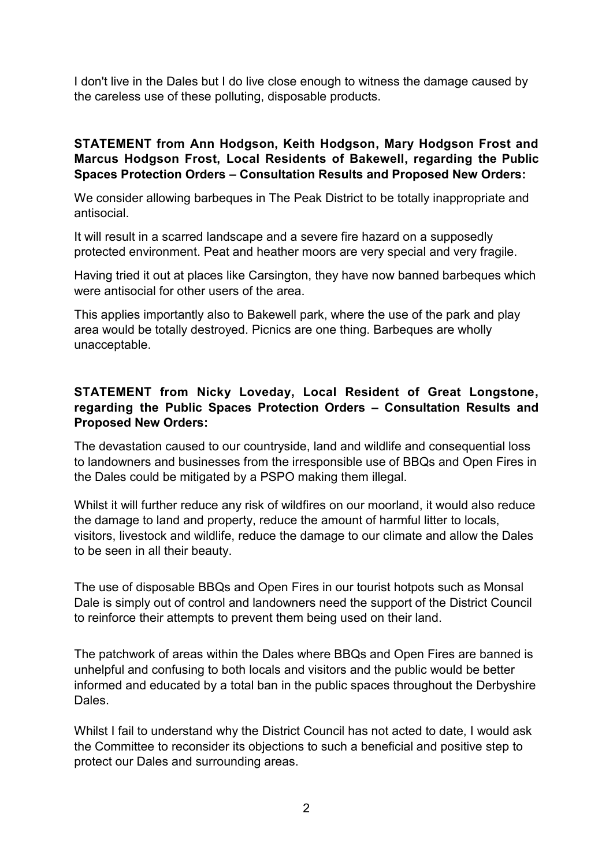I don't live in the Dales but I do live close enough to witness the damage caused by the careless use of these polluting, disposable products.

## **STATEMENT from Ann Hodgson, Keith Hodgson, Mary Hodgson Frost and Marcus Hodgson Frost, Local Residents of Bakewell, regarding the Public Spaces Protection Orders – Consultation Results and Proposed New Orders:**

We consider allowing barbeques in The Peak District to be totally inappropriate and antisocial.

It will result in a scarred landscape and a severe fire hazard on a supposedly protected environment. Peat and heather moors are very special and very fragile.

Having tried it out at places like Carsington, they have now banned barbeques which were antisocial for other users of the area.

This applies importantly also to Bakewell park, where the use of the park and play area would be totally destroyed. Picnics are one thing. Barbeques are wholly unacceptable.

## **STATEMENT from Nicky Loveday, Local Resident of Great Longstone, regarding the Public Spaces Protection Orders – Consultation Results and Proposed New Orders:**

The devastation caused to our countryside, land and wildlife and consequential loss to landowners and businesses from the irresponsible use of BBQs and Open Fires in the Dales could be mitigated by a PSPO making them illegal.

Whilst it will further reduce any risk of wildfires on our moorland, it would also reduce the damage to land and property, reduce the amount of harmful litter to locals, visitors, livestock and wildlife, reduce the damage to our climate and allow the Dales to be seen in all their beauty.

The use of disposable BBQs and Open Fires in our tourist hotpots such as Monsal Dale is simply out of control and landowners need the support of the District Council to reinforce their attempts to prevent them being used on their land.

The patchwork of areas within the Dales where BBQs and Open Fires are banned is unhelpful and confusing to both locals and visitors and the public would be better informed and educated by a total ban in the public spaces throughout the Derbyshire Dales.

Whilst I fail to understand why the District Council has not acted to date, I would ask the Committee to reconsider its objections to such a beneficial and positive step to protect our Dales and surrounding areas.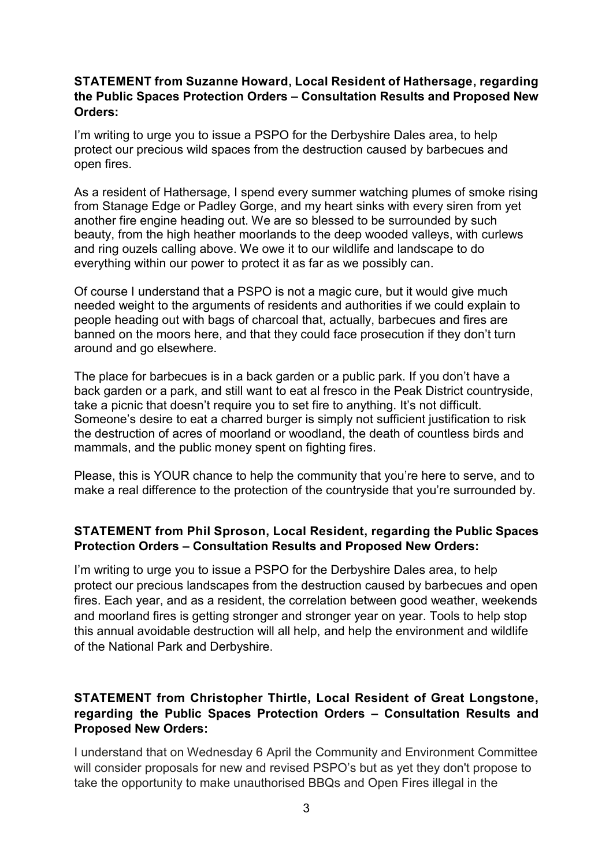### **STATEMENT from Suzanne Howard, Local Resident of Hathersage, regarding the Public Spaces Protection Orders – Consultation Results and Proposed New Orders:**

I'm writing to urge you to issue a PSPO for the Derbyshire Dales area, to help protect our precious wild spaces from the destruction caused by barbecues and open fires.

As a resident of Hathersage, I spend every summer watching plumes of smoke rising from Stanage Edge or Padley Gorge, and my heart sinks with every siren from yet another fire engine heading out. We are so blessed to be surrounded by such beauty, from the high heather moorlands to the deep wooded valleys, with curlews and ring ouzels calling above. We owe it to our wildlife and landscape to do everything within our power to protect it as far as we possibly can.

Of course I understand that a PSPO is not a magic cure, but it would give much needed weight to the arguments of residents and authorities if we could explain to people heading out with bags of charcoal that, actually, barbecues and fires are banned on the moors here, and that they could face prosecution if they don't turn around and go elsewhere.

The place for barbecues is in a back garden or a public park. If you don't have a back garden or a park, and still want to eat al fresco in the Peak District countryside, take a picnic that doesn't require you to set fire to anything. It's not difficult. Someone's desire to eat a charred burger is simply not sufficient justification to risk the destruction of acres of moorland or woodland, the death of countless birds and mammals, and the public money spent on fighting fires.

Please, this is YOUR chance to help the community that you're here to serve, and to make a real difference to the protection of the countryside that you're surrounded by.

## **STATEMENT from Phil Sproson, Local Resident, regarding the Public Spaces Protection Orders – Consultation Results and Proposed New Orders:**

I'm writing to urge you to issue a PSPO for the Derbyshire Dales area, to help protect our precious landscapes from the destruction caused by barbecues and open fires. Each year, and as a resident, the correlation between good weather, weekends and moorland fires is getting stronger and stronger year on year. Tools to help stop this annual avoidable destruction will all help, and help the environment and wildlife of the National Park and Derbyshire.

# **STATEMENT from Christopher Thirtle, Local Resident of Great Longstone, regarding the Public Spaces Protection Orders – Consultation Results and Proposed New Orders:**

I understand that on Wednesday 6 April the Community and Environment Committee will consider proposals for new and revised PSPO's but as yet they don't propose to take the opportunity to make unauthorised BBQs and Open Fires illegal in the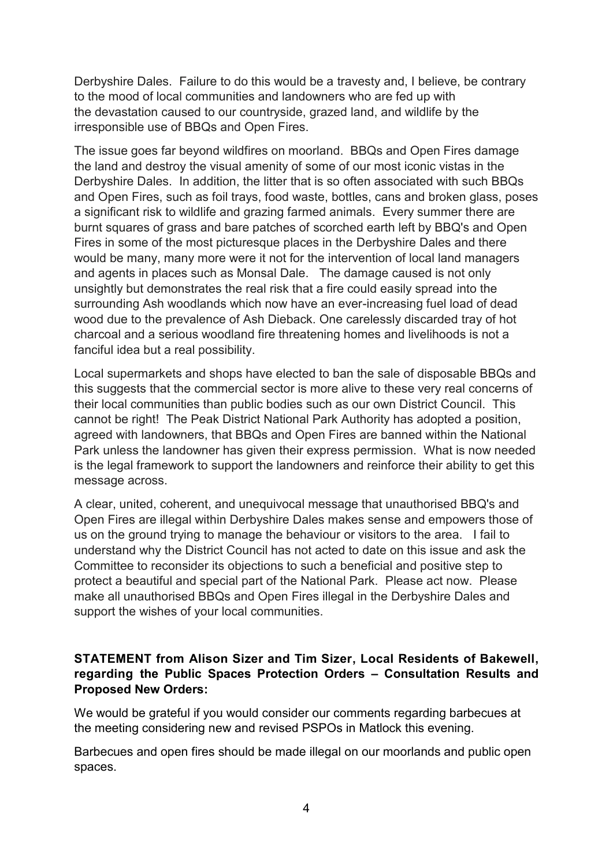Derbyshire Dales. Failure to do this would be a travesty and, I believe, be contrary to the mood of local communities and landowners who are fed up with the devastation caused to our countryside, grazed land, and wildlife by the irresponsible use of BBQs and Open Fires.

The issue goes far beyond wildfires on moorland. BBQs and Open Fires damage the land and destroy the visual amenity of some of our most iconic vistas in the Derbyshire Dales. In addition, the litter that is so often associated with such BBQs and Open Fires, such as foil trays, food waste, bottles, cans and broken glass, poses a significant risk to wildlife and grazing farmed animals. Every summer there are burnt squares of grass and bare patches of scorched earth left by BBQ's and Open Fires in some of the most picturesque places in the Derbyshire Dales and there would be many, many more were it not for the intervention of local land managers and agents in places such as Monsal Dale. The damage caused is not only unsightly but demonstrates the real risk that a fire could easily spread into the surrounding Ash woodlands which now have an ever-increasing fuel load of dead wood due to the prevalence of Ash Dieback. One carelessly discarded tray of hot charcoal and a serious woodland fire threatening homes and livelihoods is not a fanciful idea but a real possibility.

Local supermarkets and shops have elected to ban the sale of disposable BBQs and this suggests that the commercial sector is more alive to these very real concerns of their local communities than public bodies such as our own District Council. This cannot be right! The Peak District National Park Authority has adopted a position, agreed with landowners, that BBQs and Open Fires are banned within the National Park unless the landowner has given their express permission. What is now needed is the legal framework to support the landowners and reinforce their ability to get this message across.

A clear, united, coherent, and unequivocal message that unauthorised BBQ's and Open Fires are illegal within Derbyshire Dales makes sense and empowers those of us on the ground trying to manage the behaviour or visitors to the area. I fail to understand why the District Council has not acted to date on this issue and ask the Committee to reconsider its objections to such a beneficial and positive step to protect a beautiful and special part of the National Park. Please act now. Please make all unauthorised BBQs and Open Fires illegal in the Derbyshire Dales and support the wishes of your local communities.

## **STATEMENT from Alison Sizer and Tim Sizer, Local Residents of Bakewell, regarding the Public Spaces Protection Orders – Consultation Results and Proposed New Orders:**

We would be grateful if you would consider our comments regarding barbecues at the meeting considering new and revised PSPOs in Matlock this evening.

Barbecues and open fires should be made illegal on our moorlands and public open spaces.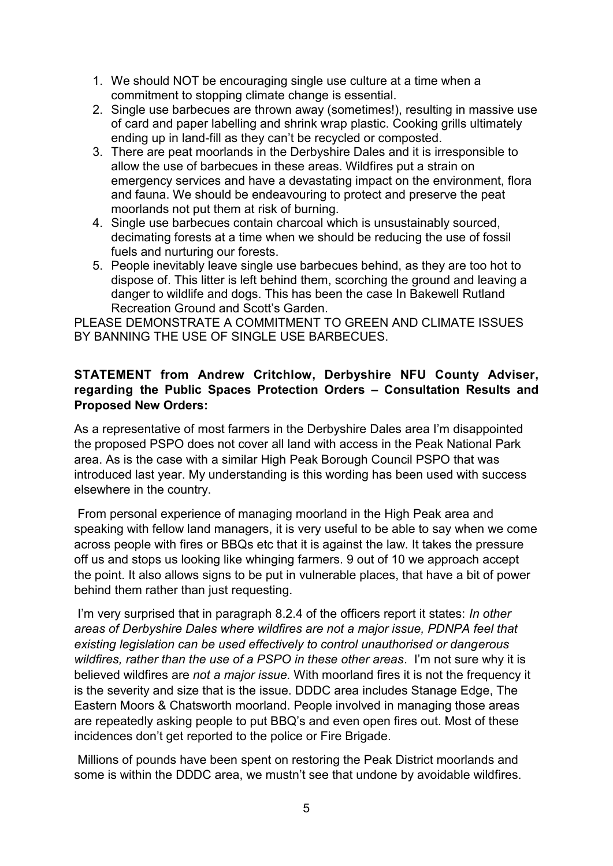- 1. We should NOT be encouraging single use culture at a time when a commitment to stopping climate change is essential.
- 2. Single use barbecues are thrown away (sometimes!), resulting in massive use of card and paper labelling and shrink wrap plastic. Cooking grills ultimately ending up in land-fill as they can't be recycled or composted.
- 3. There are peat moorlands in the Derbyshire Dales and it is irresponsible to allow the use of barbecues in these areas. Wildfires put a strain on emergency services and have a devastating impact on the environment, flora and fauna. We should be endeavouring to protect and preserve the peat moorlands not put them at risk of burning.
- 4. Single use barbecues contain charcoal which is unsustainably sourced, decimating forests at a time when we should be reducing the use of fossil fuels and nurturing our forests.
- 5. People inevitably leave single use barbecues behind, as they are too hot to dispose of. This litter is left behind them, scorching the ground and leaving a danger to wildlife and dogs. This has been the case In Bakewell Rutland Recreation Ground and Scott's Garden.

PLEASE DEMONSTRATE A COMMITMENT TO GREEN AND CLIMATE ISSUES BY BANNING THE USE OF SINGLE USE BARBECUES.

## **STATEMENT from Andrew Critchlow, Derbyshire NFU County Adviser, regarding the Public Spaces Protection Orders – Consultation Results and Proposed New Orders:**

As a representative of most farmers in the Derbyshire Dales area I'm disappointed the proposed PSPO does not cover all land with access in the Peak National Park area. As is the case with a similar High Peak Borough Council PSPO that was introduced last year. My understanding is this wording has been used with success elsewhere in the country.

From personal experience of managing moorland in the High Peak area and speaking with fellow land managers, it is very useful to be able to say when we come across people with fires or BBQs etc that it is against the law. It takes the pressure off us and stops us looking like whinging farmers. 9 out of 10 we approach accept the point. It also allows signs to be put in vulnerable places, that have a bit of power behind them rather than just requesting.

I'm very surprised that in paragraph 8.2.4 of the officers report it states: *In other areas of Derbyshire Dales where wildfires are not a major issue, PDNPA feel that existing legislation can be used effectively to control unauthorised or dangerous wildfires, rather than the use of a PSPO in these other areas*. I'm not sure why it is believed wildfires are *not a major issue.* With moorland fires it is not the frequency it is the severity and size that is the issue. DDDC area includes Stanage Edge, The Eastern Moors & Chatsworth moorland. People involved in managing those areas are repeatedly asking people to put BBQ's and even open fires out. Most of these incidences don't get reported to the police or Fire Brigade.

Millions of pounds have been spent on restoring the Peak District moorlands and some is within the DDDC area, we mustn't see that undone by avoidable wildfires.